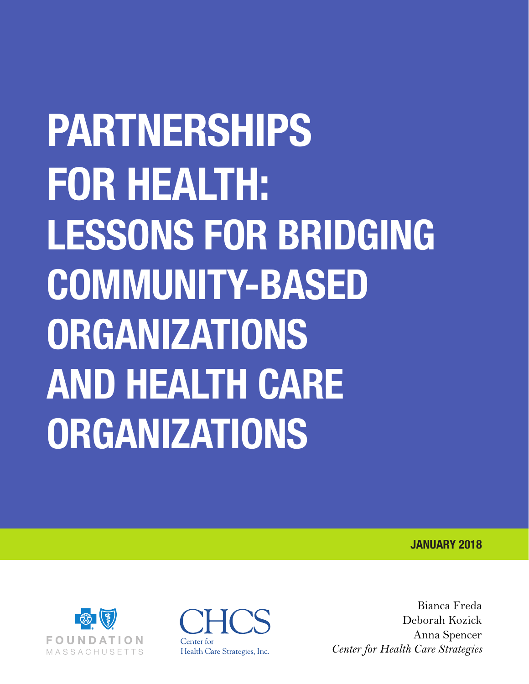# **PARTNERSHIPS FOR HEALTH: LESSONS FOR BRIDGING COMMUNITY-BASED ORGANIZATIONS AND HEALTH CARE ORGANIZATIONS**

**JANUARY 2018**



 $\mathbf{H}$ Center for Health Care Strategies, Inc.

Bianca Freda Deborah Kozick Anna Spencer *Center for Health Care Strategies*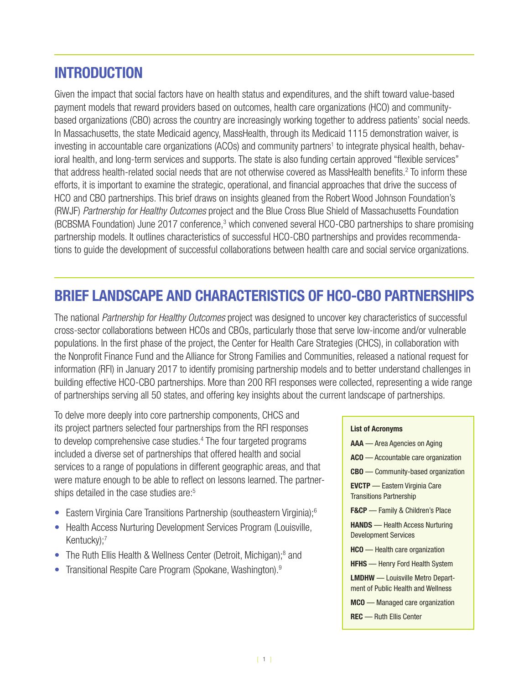# **INTRODUCTION**

Given the impact that social factors have on health status and expenditures, and the shift toward value-based payment models that reward providers based on outcomes, health care organizations (HCO) and communitybased organizations (CBO) across the country are increasingly working together to address patients' social needs. In Massachusetts, the state Medicaid agency, MassHealth, through its Medicaid 1115 demonstration waiver, is investing in accountable care organizations (ACOs) and community partners<sup>1</sup> to integrate physical health, behavioral health, and long-term services and supports. The state is also funding certain approved "flexible services" that address health-related social needs that are not otherwise covered as MassHealth benefits.<sup>2</sup> To inform these efforts, it is important to examine the strategic, operational, and financial approaches that drive the success of HCO and CBO partnerships. This brief draws on insights gleaned from the Robert Wood Johnson Foundation's (RWJF) *Partnership for Healthy Outcomes* project and the Blue Cross Blue Shield of Massachusetts Foundation (BCBSMA Foundation) June 2017 conference,<sup>3</sup> which convened several HCO-CBO partnerships to share promising partnership models. It outlines characteristics of successful HCO-CBO partnerships and provides recommendations to guide the development of successful collaborations between health care and social service organizations.

# **BRIEF LANDSCAPE AND CHARACTERISTICS OF HCO-CBO PARTNERSHIPS**

The national *Partnership for Healthy Outcomes* project was designed to uncover key characteristics of successful cross-sector collaborations between HCOs and CBOs, particularly those that serve low-income and/or vulnerable populations. In the first phase of the project, the Center for Health Care Strategies (CHCS), in collaboration with the Nonprofit Finance Fund and the Alliance for Strong Families and Communities, released a national request for information (RFI) in January 2017 to identify promising partnership models and to better understand challenges in building effective HCO-CBO partnerships. More than 200 RFI responses were collected, representing a wide range of partnerships serving all 50 states, and offering key insights about the current landscape of partnerships.

To delve more deeply into core partnership components, CHCS and its project partners selected four partnerships from the RFI responses to develop comprehensive case studies.<sup>4</sup> The four targeted programs included a diverse set of partnerships that offered health and social services to a range of populations in different geographic areas, and that were mature enough to be able to reflect on lessons learned. The partnerships detailed in the case studies are:<sup>5</sup>

- Eastern Virginia Care Transitions Partnership (southeastern Virginia);<sup>6</sup>
- Health Access Nurturing Development Services Program (Louisville, Kentucky);<sup>7</sup>
- The Ruth Ellis Health & Wellness Center (Detroit, Michigan);<sup>8</sup> and
- Transitional Respite Care Program (Spokane, Washington).9

#### **List of Acronyms**

- **AAA**  Area Agencies on Aging
- **ACO**  Accountable care organization
- **CBO**  Community-based organization

**EVCTP** — Eastern Virginia Care Transitions Partnership

**F&CP** — Family & Children's Place

**HANDS** — Health Access Nurturing Development Services

**HCO** — Health care organization

**HFHS** — Henry Ford Health System

**LMDHW** — Louisville Metro Department of Public Health and Wellness

**MCO** — Managed care organization

**REC** — Ruth Ellis Center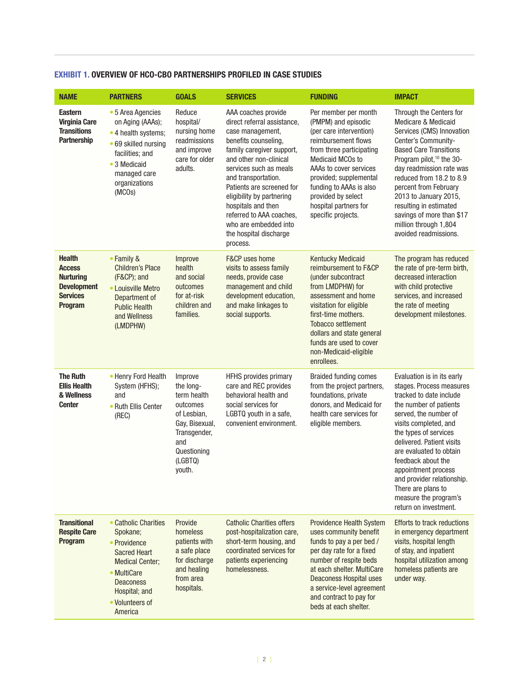| <b>NAME</b>                                                                                                   | <b>PARTNERS</b>                                                                                                                                                                     | <b>GOALS</b>                                                                                                                                | <b>SERVICES</b>                                                                                                                                                                                                                                                                                                                                                                   | <b>FUNDING</b>                                                                                                                                                                                                                                                                                           | <b>IMPACT</b>                                                                                                                                                                                                                                                                                                                                                                                             |
|---------------------------------------------------------------------------------------------------------------|-------------------------------------------------------------------------------------------------------------------------------------------------------------------------------------|---------------------------------------------------------------------------------------------------------------------------------------------|-----------------------------------------------------------------------------------------------------------------------------------------------------------------------------------------------------------------------------------------------------------------------------------------------------------------------------------------------------------------------------------|----------------------------------------------------------------------------------------------------------------------------------------------------------------------------------------------------------------------------------------------------------------------------------------------------------|-----------------------------------------------------------------------------------------------------------------------------------------------------------------------------------------------------------------------------------------------------------------------------------------------------------------------------------------------------------------------------------------------------------|
| <b>Eastern</b><br><b>Virginia Care</b><br><b>Transitions</b><br><b>Partnership</b>                            | • 5 Area Agencies<br>on Aging (AAAs);<br>• 4 health systems;<br>• 69 skilled nursing<br>facilities; and<br>• 3 Medicaid<br>managed care<br>organizations<br>(MCOs)                  | Reduce<br>hospital/<br>nursing home<br>readmissions<br>and improve<br>care for older<br>adults.                                             | AAA coaches provide<br>direct referral assistance,<br>case management,<br>benefits counseling,<br>family caregiver support,<br>and other non-clinical<br>services such as meals<br>and transportation.<br>Patients are screened for<br>eligibility by partnering<br>hospitals and then<br>referred to AAA coaches,<br>who are embedded into<br>the hospital discharge<br>process. | Per member per month<br>(PMPM) and episodic<br>(per care intervention)<br>reimbursement flows<br>from three participating<br><b>Medicaid MCOs to</b><br>AAAs to cover services<br>provided; supplemental<br>funding to AAAs is also<br>provided by select<br>hospital partners for<br>specific projects. | Through the Centers for<br><b>Medicare &amp; Medicaid</b><br>Services (CMS) Innovation<br>Center's Community-<br><b>Based Care Transitions</b><br>Program pilot, <sup>10</sup> the 30-<br>day readmission rate was<br>reduced from 18.2 to 8.9<br>percent from February<br>2013 to January 2015,<br>resulting in estimated<br>savings of more than \$17<br>million through 1,804<br>avoided readmissions. |
| <b>Health</b><br><b>Access</b><br><b>Nurturing</b><br><b>Development</b><br><b>Services</b><br><b>Program</b> | • Family &<br><b>Children's Place</b><br>(F&CP); and<br>• Louisville Metro<br>Department of<br><b>Public Health</b><br>and Wellness<br>(LMDPHW)                                     | Improve<br>health<br>and social<br>outcomes<br>for at-risk<br>children and<br>families.                                                     | F&CP uses home<br>visits to assess family<br>needs, provide case<br>management and child<br>development education,<br>and make linkages to<br>social supports.                                                                                                                                                                                                                    | <b>Kentucky Medicaid</b><br>reimbursement to F&CP<br>(under subcontract<br>from LMDPHW) for<br>assessment and home<br>visitation for eligible<br>first-time mothers.<br><b>Tobacco settlement</b><br>dollars and state general<br>funds are used to cover<br>non-Medicaid-eligible<br>enrollees.         | The program has reduced<br>the rate of pre-term birth,<br>decreased interaction<br>with child protective<br>services, and increased<br>the rate of meeting<br>development milestones.                                                                                                                                                                                                                     |
| <b>The Ruth</b><br><b>Ellis Health</b><br>& Wellness<br><b>Center</b>                                         | • Henry Ford Health<br>System (HFHS);<br>and<br>• Ruth Ellis Center<br>(REC)                                                                                                        | Improve<br>the long-<br>term health<br>outcomes<br>of Lesbian,<br>Gay, Bisexual,<br>Transgender,<br>and<br>Questioning<br>(LGBTQ)<br>youth. | <b>HFHS</b> provides primary<br>care and REC provides<br>behavioral health and<br>social services for<br>LGBTQ youth in a safe,<br>convenient environment.                                                                                                                                                                                                                        | <b>Braided funding comes</b><br>from the project partners,<br>foundations, private<br>donors, and Medicaid for<br>health care services for<br>eligible members.                                                                                                                                          | Evaluation is in its early<br>stages. Process measures<br>tracked to date include<br>the number of patients<br>served, the number of<br>visits completed, and<br>the types of services<br>delivered. Patient visits<br>are evaluated to obtain<br>feedback about the<br>appointment process<br>and provider relationship.<br>There are plans to<br>measure the program's<br>return on investment.         |
| <b>Transitional</b><br><b>Respite Care</b><br>Program                                                         | • Catholic Charities<br>Spokane:<br>• Providence<br><b>Sacred Heart</b><br><b>Medical Center;</b><br>• MultiCare<br><b>Deaconess</b><br>Hospital; and<br>• Volunteers of<br>America | Provide<br>homeless<br>patients with<br>a safe place<br>for discharge<br>and healing<br>from area<br>hospitals.                             | <b>Catholic Charities offers</b><br>post-hospitalization care,<br>short-term housing, and<br>coordinated services for<br>patients experiencing<br>homelessness.                                                                                                                                                                                                                   | <b>Providence Health System</b><br>uses community benefit<br>funds to pay a per bed /<br>per day rate for a fixed<br>number of respite beds<br>at each shelter. MultiCare<br><b>Deaconess Hospital uses</b><br>a service-level agreement<br>and contract to pay for<br>beds at each shelter.             | <b>Efforts to track reductions</b><br>in emergency department<br>visits, hospital length<br>of stay, and inpatient<br>hospital utilization among<br>homeless patients are<br>under way.                                                                                                                                                                                                                   |

#### **EXHIBIT 1. OVERVIEW OF HCO-CBO PARTNERSHIPS PROFILED IN CASE STUDIES**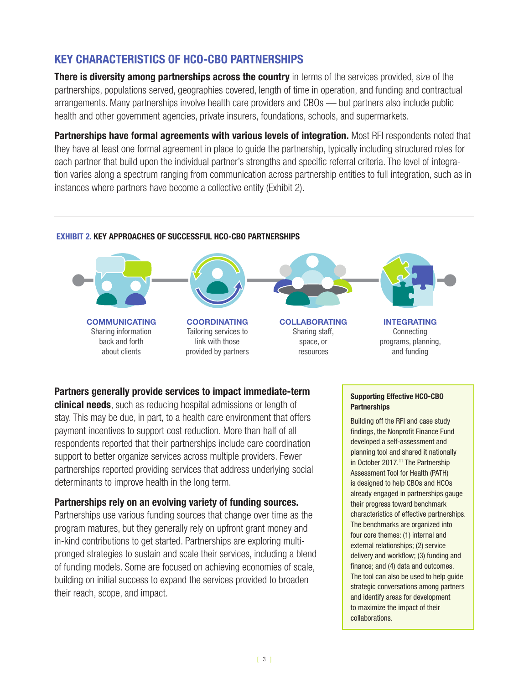# **KEY CHARACTERISTICS OF HCO-CBO PARTNERSHIPS**

**There is diversity among partnerships across the country** in terms of the services provided, size of the partnerships, populations served, geographies covered, length of time in operation, and funding and contractual arrangements. Many partnerships involve health care providers and CBOs — but partners also include public health and other government agencies, private insurers, foundations, schools, and supermarkets.

**Partnerships have formal agreements with various levels of integration.** Most RFI respondents noted that they have at least one formal agreement in place to guide the partnership, typically including structured roles for each partner that build upon the individual partner's strengths and specific referral criteria. The level of integration varies along a spectrum ranging from communication across partnership entities to full integration, such as in instances where partners have become a collective entity (Exhibit 2).

#### **EXHIBIT 2. KEY APPROACHES OF SUCCESSFUL HCO-CBO PARTNERSHIPS**



### **Partners generally provide services to impact immediate-term**

**clinical needs**, such as reducing hospital admissions or length of stay. This may be due, in part, to a health care environment that offers payment incentives to support cost reduction. More than half of all respondents reported that their partnerships include care coordination support to better organize services across multiple providers. Fewer partnerships reported providing services that address underlying social determinants to improve health in the long term.

### **Partnerships rely on an evolving variety of funding sources.**

Partnerships use various funding sources that change over time as the program matures, but they generally rely on upfront grant money and in-kind contributions to get started. Partnerships are exploring multipronged strategies to sustain and scale their services, including a blend of funding models. Some are focused on achieving economies of scale, building on initial success to expand the services provided to broaden their reach, scope, and impact.

#### **Supporting Effective HCO-CBO Partnerships**

Building off the RFI and case study findings, the Nonprofit Finance Fund developed a self-assessment and planning tool and shared it nationally in October 2017.<sup>11</sup> The Partnership Assessment Tool for Health (PATH) is designed to help CBOs and HCOs already engaged in partnerships gauge their progress toward benchmark characteristics of effective partnerships. The benchmarks are organized into four core themes: (1) internal and external relationships; (2) service delivery and workflow; (3) funding and finance; and (4) data and outcomes. The tool can also be used to help guide strategic conversations among partners and identify areas for development to maximize the impact of their collaborations.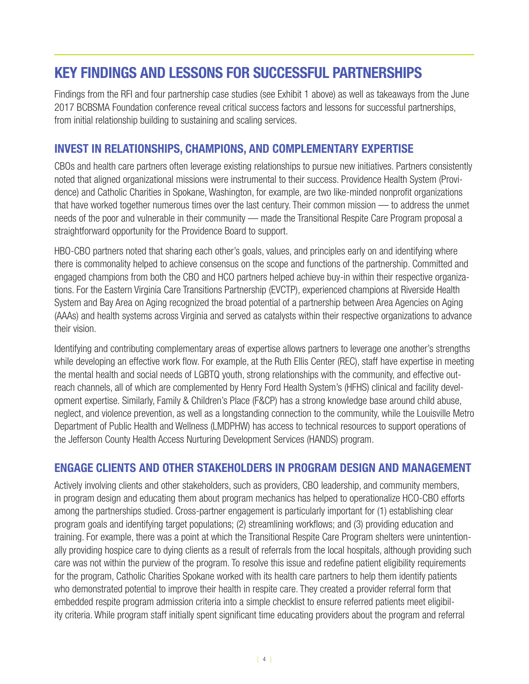# **KEY FINDINGS AND LESSONS FOR SUCCESSFUL PARTNERSHIPS**

Findings from the RFI and four partnership case studies (see Exhibit 1 above) as well as takeaways from the June 2017 BCBSMA Foundation conference reveal critical success factors and lessons for successful partnerships, from initial relationship building to sustaining and scaling services.

## **INVEST IN RELATIONSHIPS, CHAMPIONS, AND COMPLEMENTARY EXPERTISE**

CBOs and health care partners often leverage existing relationships to pursue new initiatives. Partners consistently noted that aligned organizational missions were instrumental to their success. Providence Health System (Providence) and Catholic Charities in Spokane, Washington, for example, are two like-minded nonprofit organizations that have worked together numerous times over the last century. Their common mission — to address the unmet needs of the poor and vulnerable in their community — made the Transitional Respite Care Program proposal a straightforward opportunity for the Providence Board to support.

HBO-CBO partners noted that sharing each other's goals, values, and principles early on and identifying where there is commonality helped to achieve consensus on the scope and functions of the partnership. Committed and engaged champions from both the CBO and HCO partners helped achieve buy-in within their respective organizations. For the Eastern Virginia Care Transitions Partnership (EVCTP), experienced champions at Riverside Health System and Bay Area on Aging recognized the broad potential of a partnership between Area Agencies on Aging (AAAs) and health systems across Virginia and served as catalysts within their respective organizations to advance their vision.

Identifying and contributing complementary areas of expertise allows partners to leverage one another's strengths while developing an effective work flow. For example, at the Ruth Ellis Center (REC), staff have expertise in meeting the mental health and social needs of LGBTQ youth, strong relationships with the community, and effective outreach channels, all of which are complemented by Henry Ford Health System's (HFHS) clinical and facility development expertise. Similarly, Family & Children's Place (F&CP) has a strong knowledge base around child abuse, neglect, and violence prevention, as well as a longstanding connection to the community, while the Louisville Metro Department of Public Health and Wellness (LMDPHW) has access to technical resources to support operations of the Jefferson County Health Access Nurturing Development Services (HANDS) program.

## **ENGAGE CLIENTS AND OTHER STAKEHOLDERS IN PROGRAM DESIGN AND MANAGEMENT**

Actively involving clients and other stakeholders, such as providers, CBO leadership, and community members, in program design and educating them about program mechanics has helped to operationalize HCO-CBO efforts among the partnerships studied. Cross-partner engagement is particularly important for (1) establishing clear program goals and identifying target populations; (2) streamlining workflows; and (3) providing education and training. For example, there was a point at which the Transitional Respite Care Program shelters were unintentionally providing hospice care to dying clients as a result of referrals from the local hospitals, although providing such care was not within the purview of the program. To resolve this issue and redefine patient eligibility requirements for the program, Catholic Charities Spokane worked with its health care partners to help them identify patients who demonstrated potential to improve their health in respite care. They created a provider referral form that embedded respite program admission criteria into a simple checklist to ensure referred patients meet eligibility criteria. While program staff initially spent significant time educating providers about the program and referral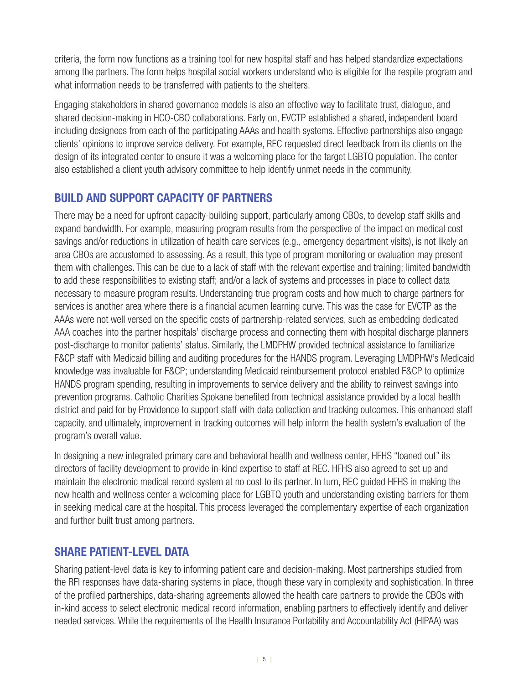criteria, the form now functions as a training tool for new hospital staff and has helped standardize expectations among the partners. The form helps hospital social workers understand who is eligible for the respite program and what information needs to be transferred with patients to the shelters.

Engaging stakeholders in shared governance models is also an effective way to facilitate trust, dialogue, and shared decision-making in HCO-CBO collaborations. Early on, EVCTP established a shared, independent board including designees from each of the participating AAAs and health systems. Effective partnerships also engage clients' opinions to improve service delivery. For example, REC requested direct feedback from its clients on the design of its integrated center to ensure it was a welcoming place for the target LGBTQ population. The center also established a client youth advisory committee to help identify unmet needs in the community.

## **BUILD AND SUPPORT CAPACITY OF PARTNERS**

There may be a need for upfront capacity-building support, particularly among CBOs, to develop staff skills and expand bandwidth. For example, measuring program results from the perspective of the impact on medical cost savings and/or reductions in utilization of health care services (e.g., emergency department visits), is not likely an area CBOs are accustomed to assessing. As a result, this type of program monitoring or evaluation may present them with challenges. This can be due to a lack of staff with the relevant expertise and training; limited bandwidth to add these responsibilities to existing staff; and/or a lack of systems and processes in place to collect data necessary to measure program results. Understanding true program costs and how much to charge partners for services is another area where there is a financial acumen learning curve. This was the case for EVCTP as the AAAs were not well versed on the specific costs of partnership-related services, such as embedding dedicated AAA coaches into the partner hospitals' discharge process and connecting them with hospital discharge planners post-discharge to monitor patients' status. Similarly, the LMDPHW provided technical assistance to familiarize F&CP staff with Medicaid billing and auditing procedures for the HANDS program. Leveraging LMDPHW's Medicaid knowledge was invaluable for F&CP; understanding Medicaid reimbursement protocol enabled F&CP to optimize HANDS program spending, resulting in improvements to service delivery and the ability to reinvest savings into prevention programs. Catholic Charities Spokane benefited from technical assistance provided by a local health district and paid for by Providence to support staff with data collection and tracking outcomes. This enhanced staff capacity, and ultimately, improvement in tracking outcomes will help inform the health system's evaluation of the program's overall value.

In designing a new integrated primary care and behavioral health and wellness center, HFHS "loaned out" its directors of facility development to provide in-kind expertise to staff at REC. HFHS also agreed to set up and maintain the electronic medical record system at no cost to its partner. In turn, REC guided HFHS in making the new health and wellness center a welcoming place for LGBTQ youth and understanding existing barriers for them in seeking medical care at the hospital. This process leveraged the complementary expertise of each organization and further built trust among partners.

## **SHARE PATIENT-LEVEL DATA**

Sharing patient-level data is key to informing patient care and decision-making. Most partnerships studied from the RFI responses have data-sharing systems in place, though these vary in complexity and sophistication. In three of the profiled partnerships, data-sharing agreements allowed the health care partners to provide the CBOs with in-kind access to select electronic medical record information, enabling partners to effectively identify and deliver needed services. While the requirements of the Health Insurance Portability and Accountability Act (HIPAA) was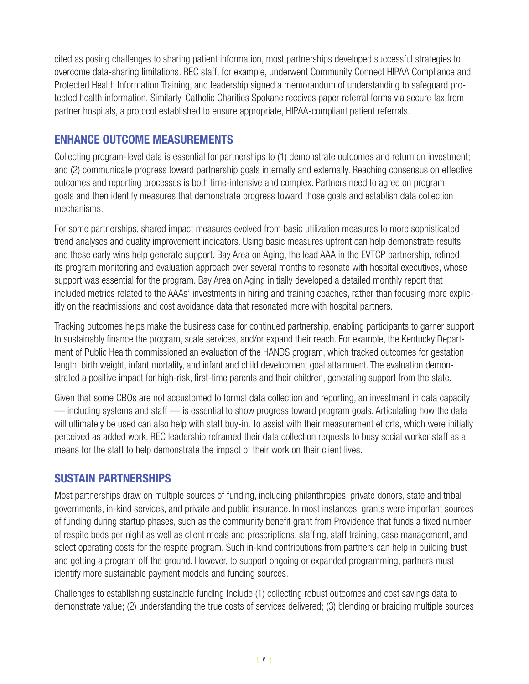cited as posing challenges to sharing patient information, most partnerships developed successful strategies to overcome data-sharing limitations. REC staff, for example, underwent Community Connect HIPAA Compliance and Protected Health Information Training, and leadership signed a memorandum of understanding to safeguard protected health information. Similarly, Catholic Charities Spokane receives paper referral forms via secure fax from partner hospitals, a protocol established to ensure appropriate, HIPAA-compliant patient referrals.

## **ENHANCE OUTCOME MEASUREMENTS**

Collecting program-level data is essential for partnerships to (1) demonstrate outcomes and return on investment; and (2) communicate progress toward partnership goals internally and externally. Reaching consensus on effective outcomes and reporting processes is both time-intensive and complex. Partners need to agree on program goals and then identify measures that demonstrate progress toward those goals and establish data collection mechanisms.

For some partnerships, shared impact measures evolved from basic utilization measures to more sophisticated trend analyses and quality improvement indicators. Using basic measures upfront can help demonstrate results, and these early wins help generate support. Bay Area on Aging, the lead AAA in the EVTCP partnership, refined its program monitoring and evaluation approach over several months to resonate with hospital executives, whose support was essential for the program. Bay Area on Aging initially developed a detailed monthly report that included metrics related to the AAAs' investments in hiring and training coaches, rather than focusing more explicitly on the readmissions and cost avoidance data that resonated more with hospital partners.

Tracking outcomes helps make the business case for continued partnership, enabling participants to garner support to sustainably finance the program, scale services, and/or expand their reach. For example, the Kentucky Department of Public Health commissioned an evaluation of the HANDS program, which tracked outcomes for gestation length, birth weight, infant mortality, and infant and child development goal attainment. The evaluation demonstrated a positive impact for high-risk, first-time parents and their children, generating support from the state.

Given that some CBOs are not accustomed to formal data collection and reporting, an investment in data capacity — including systems and staff — is essential to show progress toward program goals. Articulating how the data will ultimately be used can also help with staff buy-in. To assist with their measurement efforts, which were initially perceived as added work, REC leadership reframed their data collection requests to busy social worker staff as a means for the staff to help demonstrate the impact of their work on their client lives.

## **SUSTAIN PARTNERSHIPS**

Most partnerships draw on multiple sources of funding, including philanthropies, private donors, state and tribal governments, in-kind services, and private and public insurance. In most instances, grants were important sources of funding during startup phases, such as the community benefit grant from Providence that funds a fixed number of respite beds per night as well as client meals and prescriptions, staffing, staff training, case management, and select operating costs for the respite program. Such in-kind contributions from partners can help in building trust and getting a program off the ground. However, to support ongoing or expanded programming, partners must identify more sustainable payment models and funding sources.

Challenges to establishing sustainable funding include (1) collecting robust outcomes and cost savings data to demonstrate value; (2) understanding the true costs of services delivered; (3) blending or braiding multiple sources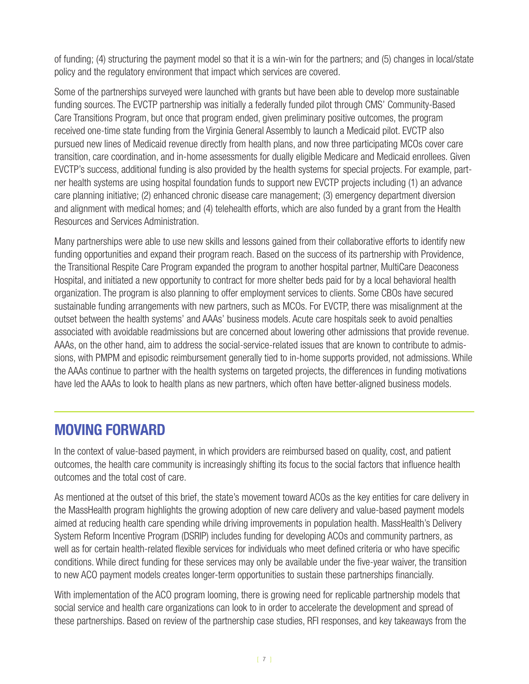of funding; (4) structuring the payment model so that it is a win-win for the partners; and (5) changes in local/state policy and the regulatory environment that impact which services are covered.

Some of the partnerships surveyed were launched with grants but have been able to develop more sustainable funding sources. The EVCTP partnership was initially a federally funded pilot through CMS' Community-Based Care Transitions Program, but once that program ended, given preliminary positive outcomes, the program received one-time state funding from the Virginia General Assembly to launch a Medicaid pilot. EVCTP also pursued new lines of Medicaid revenue directly from health plans, and now three participating MCOs cover care transition, care coordination, and in-home assessments for dually eligible Medicare and Medicaid enrollees. Given EVCTP's success, additional funding is also provided by the health systems for special projects. For example, partner health systems are using hospital foundation funds to support new EVCTP projects including (1) an advance care planning initiative; (2) enhanced chronic disease care management; (3) emergency department diversion and alignment with medical homes; and (4) telehealth efforts, which are also funded by a grant from the Health Resources and Services Administration.

Many partnerships were able to use new skills and lessons gained from their collaborative efforts to identify new funding opportunities and expand their program reach. Based on the success of its partnership with Providence, the Transitional Respite Care Program expanded the program to another hospital partner, MultiCare Deaconess Hospital, and initiated a new opportunity to contract for more shelter beds paid for by a local behavioral health organization. The program is also planning to offer employment services to clients. Some CBOs have secured sustainable funding arrangements with new partners, such as MCOs. For EVCTP, there was misalignment at the outset between the health systems' and AAAs' business models. Acute care hospitals seek to avoid penalties associated with avoidable readmissions but are concerned about lowering other admissions that provide revenue. AAAs, on the other hand, aim to address the social-service-related issues that are known to contribute to admissions, with PMPM and episodic reimbursement generally tied to in-home supports provided, not admissions. While the AAAs continue to partner with the health systems on targeted projects, the differences in funding motivations have led the AAAs to look to health plans as new partners, which often have better-aligned business models.

# **MOVING FORWARD**

In the context of value-based payment, in which providers are reimbursed based on quality, cost, and patient outcomes, the health care community is increasingly shifting its focus to the social factors that influence health outcomes and the total cost of care.

As mentioned at the outset of this brief, the state's movement toward ACOs as the key entities for care delivery in the MassHealth program highlights the growing adoption of new care delivery and value-based payment models aimed at reducing health care spending while driving improvements in population health. MassHealth's Delivery System Reform Incentive Program (DSRIP) includes funding for developing ACOs and community partners, as well as for certain health-related flexible services for individuals who meet defined criteria or who have specific conditions. While direct funding for these services may only be available under the five-year waiver, the transition to new ACO payment models creates longer-term opportunities to sustain these partnerships financially.

With implementation of the ACO program looming, there is growing need for replicable partnership models that social service and health care organizations can look to in order to accelerate the development and spread of these partnerships. Based on review of the partnership case studies, RFI responses, and key takeaways from the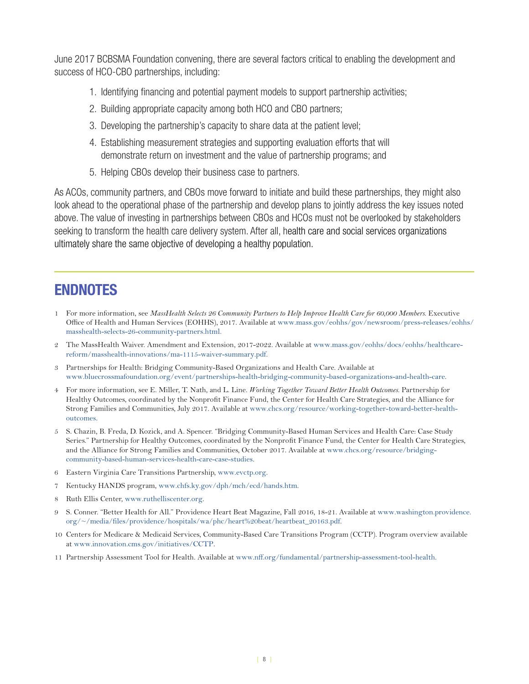June 2017 BCBSMA Foundation convening, there are several factors critical to enabling the development and success of HCO-CBO partnerships, including:

- 1. Identifying financing and potential payment models to support partnership activities;
- 2. Building appropriate capacity among both HCO and CBO partners;
- 3. Developing the partnership's capacity to share data at the patient level;
- 4. Establishing measurement strategies and supporting evaluation efforts that will demonstrate return on investment and the value of partnership programs; and
- 5. Helping CBOs develop their business case to partners.

As ACOs, community partners, and CBOs move forward to initiate and build these partnerships, they might also look ahead to the operational phase of the partnership and develop plans to jointly address the key issues noted above. The value of investing in partnerships between CBOs and HCOs must not be overlooked by stakeholders seeking to transform the health care delivery system. After all, health care and social services organizations ultimately share the same objective of developing a healthy population.

# **ENDNOTES**

- 1 For more information, see *MassHealth Selects 26 Community Partners to Help Improve Health Care for 60,000 Members*. Executive Office of Health and Human Services (EOHHS), 2017. Available at [www.mass.gov/eohhs/gov/newsroom/press-releases/eohhs/](http://www.mass.gov/eohhs/gov/newsroom/press-releases/eohhs/masshealth-selects-26-community-partners.html) [masshealth-selects-26-community-partners.html.](http://www.mass.gov/eohhs/gov/newsroom/press-releases/eohhs/masshealth-selects-26-community-partners.html)
- 2 The MassHealth Waiver. Amendment and Extension, 2017-2022. Available at [www.mass.gov/eohhs/docs/eohhs/healthcare](http://www.mass.gov/eohhs/docs/eohhs/healthcare-reform/masshealth-innovations/ma-1115-waiver-summary.pdf)[reform/masshealth-innovations/ma-1115-waiver-summary.pdf](http://www.mass.gov/eohhs/docs/eohhs/healthcare-reform/masshealth-innovations/ma-1115-waiver-summary.pdf).
- 3 Partnerships for Health: Bridging Community-Based Organizations and Health Care. Available at www.[bluecrossmafoundation.org/event/partnerships-health-bridging-community-based-organizations-and-health-care](https://bluecrossmafoundation.org/event/partnerships-health-bridging-community-based-organizations-and-health-care).
- 4 For more information, see E. Miller, T. Nath, and L. Line. *Working Together Toward Better Health Outcomes*. Partnership for Healthy Outcomes, coordinated by the Nonprofit Finance Fund, the Center for Health Care Strategies, and the Alliance for Strong Families and Communities, July 2017. Available at [www.chcs.org/resource/working-together-toward-better-health](https://www.chcs.org/resource/working-together-toward-better-health-outcomes/)[outcomes](https://www.chcs.org/resource/working-together-toward-better-health-outcomes/).
- 5 S. Chazin, B. Freda, D. Kozick, and A. Spencer. "Bridging Community-Based Human Services and Health Care: Case Study Series." Partnership for Healthy Outcomes, coordinated by the Nonprofit Finance Fund, the Center for Health Care Strategies, and the Alliance for Strong Families and Communities, October 2017. Available at [www.chcs.org/resource/bridging](https://www.chcs.org/resource/bridging-community-based-human-services-health-care-case-studies)[community-based-human-services-health-care-case-studies.](https://www.chcs.org/resource/bridging-community-based-human-services-health-care-case-studies)
- 6 Eastern Virginia Care Transitions Partnership, [www.evctp.org](http://www.evctp.org/).
- 7 Kentucky HANDS program, www[.chfs.ky.gov/dph/mch/ecd/hands.htm](http://chfs.ky.gov/dph/mch/ecd/hands.htm).
- 8 Ruth Ellis Center, [www.ruthelliscenter.org](http://www.ruthelliscenter.org/).
- 9 S. Conner. "Better Health for All." Providence Heart Beat Magazine, Fall 2016, 18-21. Available at www.[washington.providence.](https://washington.providence.org/~/media/files/providence/hospitals/wa/phc/heart%20beat/heartbeat_20163.pdf) [org/~/media/files/providence/hospitals/wa/phc/heart%20beat/heartbeat\\_20163.pdf.](https://washington.providence.org/~/media/files/providence/hospitals/wa/phc/heart%20beat/heartbeat_20163.pdf)
- 10 Centers for Medicare & Medicaid Services, Community-Based Care Transitions Program (CCTP). Program overview available at www.[innovation.cms.gov/initiatives/CCTP](https://innovation.cms.gov/initiatives/CCTP/).
- 11 Partnership Assessment Tool for Health. Available at [www.nff.org/fundamental/partnership-assessment-tool-health.](http://www.nff.org/fundamental/partnership-assessment-tool-health)